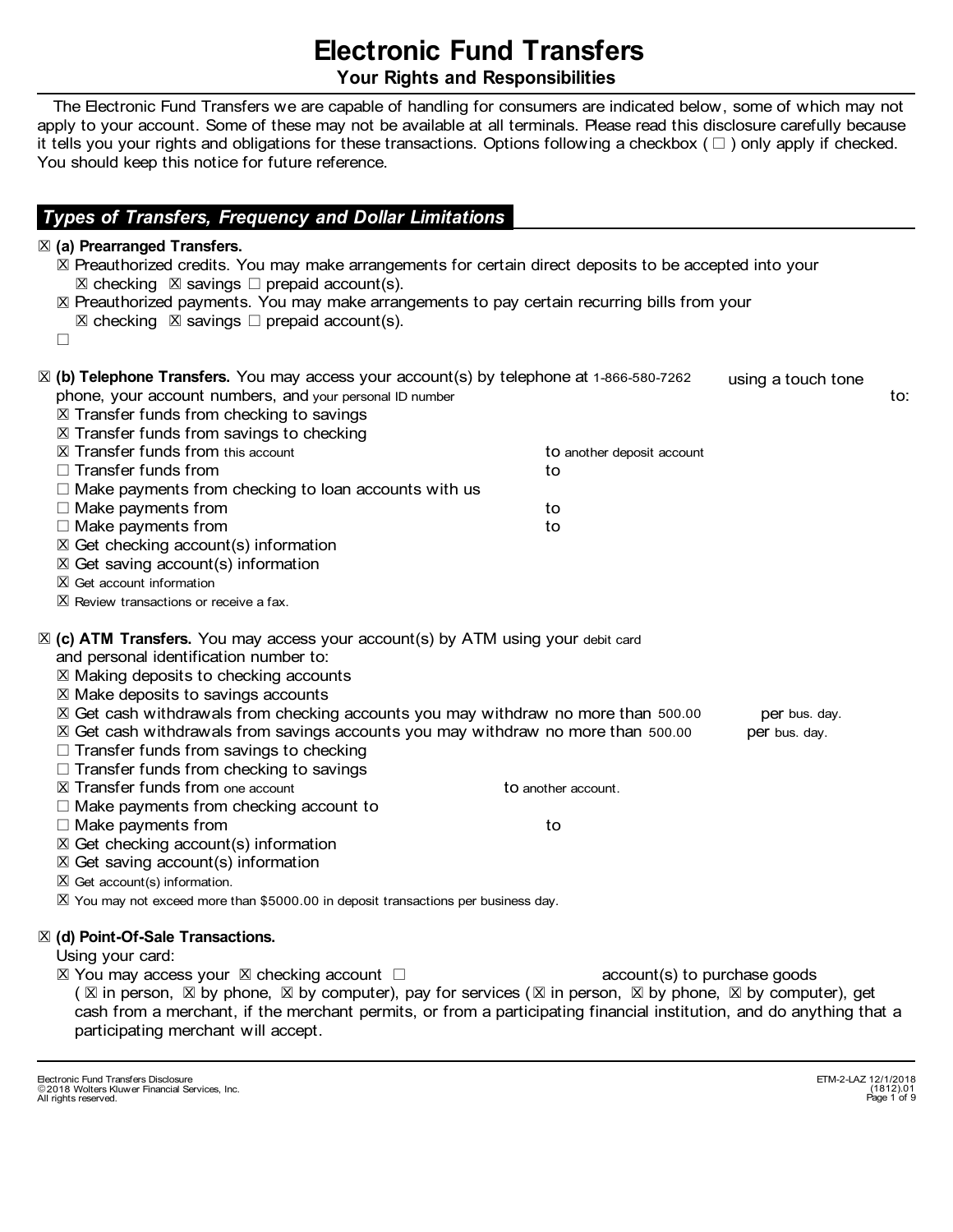# **Electronic Fund Transfers Your Rights and Responsibilities**

 The Electronic Fund Transfers we are capable of handling for consumers are indicated below, some of which may not apply to your account. Some of these may not be available at all terminals. Please read this disclosure carefully because it tells you your rights and obligations for these transactions. Options following a checkbox  $(\Box)$  only apply if checked. You should keep this notice for future reference.

### *Types of Transfers, Frequency and Dollar Limitations*

#### l **(a) Prearranged Transfers.** X

⊠ Preauthorized credits. You may make arrangements for certain direct deposits to be accepted into your  $\boxtimes$  checking  $\boxtimes$  savings  $\Box$  prepaid account(s). l Preauthorized payments. You may make arrangements to pay certain recurring bills from your X  $\boxtimes$  checking  $\boxtimes$  savings  $\Box$  prepaid account(s).  $\Box$ ⊠ (b) Telephone Transfers. You may access your account(s) by telephone at 1-866-580-7262 ⊠ Transfer funds from checking to savings ⊠ Transfer funds from savings to checking using a touch tone phone, your account numbers, and your personal ID number and the state of the state of the state of to: □ Make payments from checking account to  $\boxtimes$  Transfer funds from this account account and to another deposit account  $\square$  Transfer funds from to the set of the set of the set of the set of the set of the set of the set of the set of the set of the set of the set of the set of the set of the set of the set of the set of the set of the se  $\Box$  Make payments from checking to loan accounts with us  $\Box$  Make payments from to the state of  $\Box$  Make  $\Box$  and  $\Box$  to to the state of  $\Box$  $\Box$  Make payments from to the state of  $\Box$  Make  $\Box$  and  $\Box$  to to to the state of  $\Box$  $X$  Get checking account(s) information  $X$  Get saving account(s) information l X Review transactions or receive a fax. ⊠ (c) ATM Transfers. You may access your account(s) by ATM using your debit card l Making deposits to checking accounts X l Make deposits to savings accounts X X Get cash withdrawals from checking accounts you may withdraw no more than 500.00 per bus. day. X Get cash withdrawals from savings accounts you may withdraw no more than 500.00 per bus. day.  $X$  Get account information  $\Box$  Transfer funds from savings to checking  $\Box$  Transfer funds from checking to savings **X** Get saving account(s) information and personal identification number to: l **(d) Point-Of-Sale Transactions.** X l X You may not exceed more than \$5000.00 in deposit transactions per business day.  $X$  Get account(s) information.  $\square$  Make payments from the set of the set of the set of the set of the set of the set of the set of the set of the set of the set of the set of the set of the set of the set of the set of the set of the set of the set of ⊠ Transfer funds from one account and to another account. l Get checking account(s) information X

Using your card:

 $\boxtimes$  You may access your  $\boxtimes$  checking account  $\Box$ ( $\boxtimes$  in person,  $\boxtimes$  by phone,  $\boxtimes$  by computer), pay for services ( $\boxtimes$  in person,  $\boxtimes$  by phone,  $\boxtimes$  by computer), get account(s) to purchase goods cash from a merchant, if the merchant permits, or from a participating financial institution, and do anything that a participating merchant will accept.

<sup>-</sup> Electronic Fund Transfers Disclosure ETM-2-LAZ 12/1/2018 2018 Wolters Kluwer Financial Services, Inc. All rights reserved.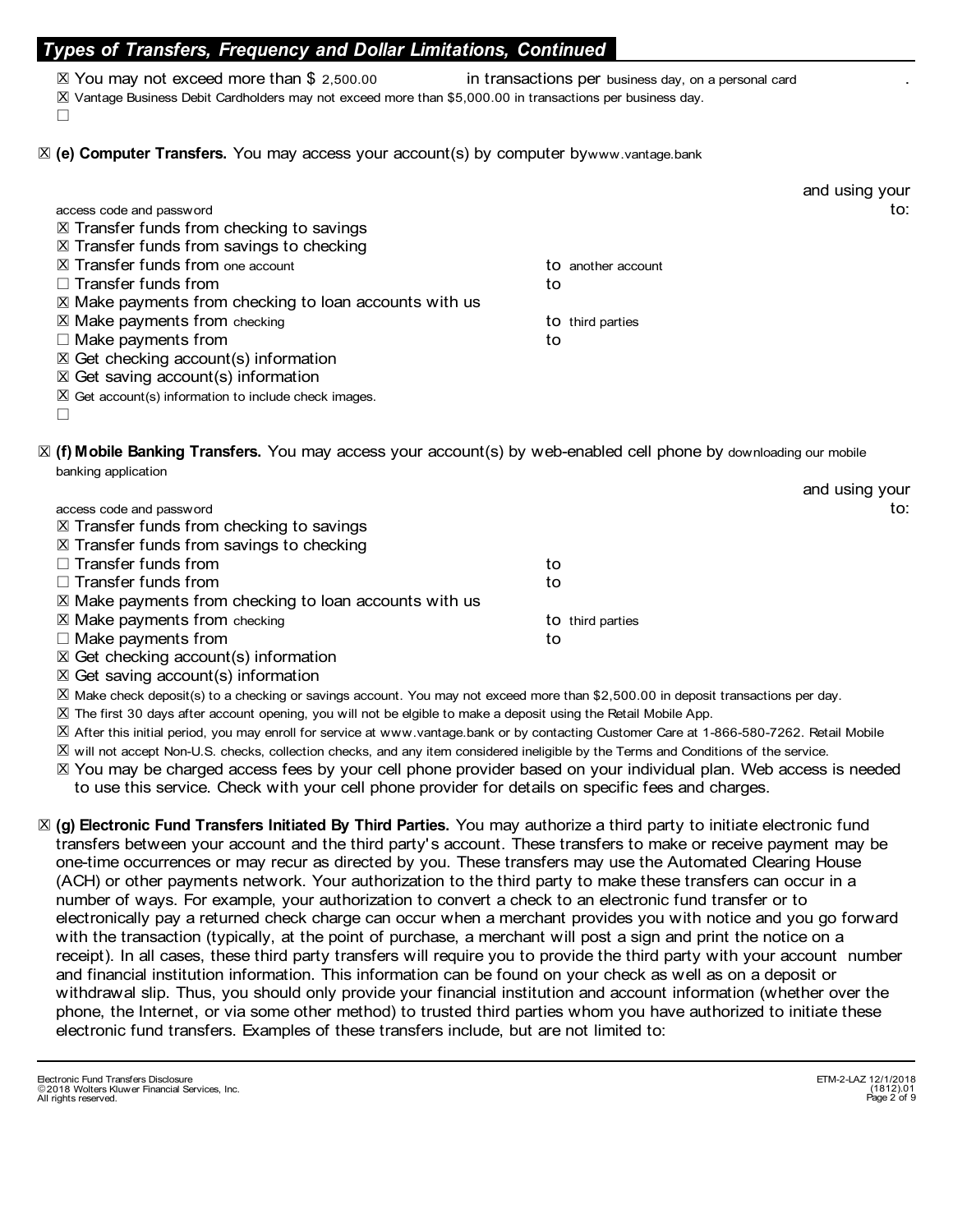### *Types of Transfers, Frequency and Dollar Limitations, Continued*

- l X Vantage Business Debit Cardholders may not exceed more than \$5,000.00 in transactions per business day.  $\boxtimes$  You may not exceed more than \$ 2,500.00 in transactions per business day, on a personal card
- $\Box$

⊠ (e) Computer Transfers. You may access your account(s) by computer bywww.vantage.bank

|                                                                  |                    | and using your |
|------------------------------------------------------------------|--------------------|----------------|
| access code and password                                         |                    | to:            |
| $\boxtimes$ Transfer funds from checking to savings              |                    |                |
| $X$ Transfer funds from savings to checking                      |                    |                |
| $\boxtimes$ Transfer funds from one account                      | to another account |                |
| $\Box$ Transfer funds from                                       | to                 |                |
| $\boxtimes$ Make payments from checking to loan accounts with us |                    |                |
| $X$ Make payments from checking                                  | to third parties   |                |
| $\Box$ Make payments from                                        | to                 |                |
| $\boxtimes$ Get checking account(s) information                  |                    |                |
| $\boxtimes$ Get saving account(s) information                    |                    |                |
| $\boxtimes$ Get account(s) information to include check images.  |                    |                |
|                                                                  |                    |                |

⊠ (f) Mobile Banking Transfers. You may access your account(s) by web-enabled cell phone by downloading our mobile banking application

|                                                                                                                                                                                                                                                                                                  |                  | and using your |
|--------------------------------------------------------------------------------------------------------------------------------------------------------------------------------------------------------------------------------------------------------------------------------------------------|------------------|----------------|
| access code and password                                                                                                                                                                                                                                                                         |                  | to:            |
| $\boxtimes$ Transfer funds from checking to savings                                                                                                                                                                                                                                              |                  |                |
| $\boxtimes$ Transfer funds from savings to checking                                                                                                                                                                                                                                              |                  |                |
| $\Box$ Transfer funds from                                                                                                                                                                                                                                                                       | to               |                |
| $\Box$ Transfer funds from                                                                                                                                                                                                                                                                       | to               |                |
| $\boxtimes$ Make payments from checking to loan accounts with us                                                                                                                                                                                                                                 |                  |                |
| $\boxtimes$ Make payments from checking                                                                                                                                                                                                                                                          | to third parties |                |
| $\Box$ Make payments from                                                                                                                                                                                                                                                                        | to               |                |
| $\boxtimes$ Get checking account(s) information                                                                                                                                                                                                                                                  |                  |                |
| $\mathbf{r}$ and $\mathbf{r}$ and $\mathbf{r}$ and $\mathbf{r}$ and $\mathbf{r}$ and $\mathbf{r}$ and $\mathbf{r}$ and $\mathbf{r}$ and $\mathbf{r}$ and $\mathbf{r}$ and $\mathbf{r}$ and $\mathbf{r}$ and $\mathbf{r}$ and $\mathbf{r}$ and $\mathbf{r}$ and $\mathbf{r}$ and $\mathbf{r}$ and |                  |                |

⊠ Get saving account(s) information

l X Make check deposit(s) to a checking or savings account. You may not exceed more than \$2,500.00 in deposit transactions per day.

l X The first 30 days after account opening, you will not be elgible to make a deposit using the Retail Mobile App.

l X After this initial period, you may enroll for service at www.vantage.bank or by contacting Customer Care at 1-866-580-7262. Retail Mobile

l X will not accept Non-U.S. checks, collection checks, and any item considered ineligible by the Terms and Conditions of the service.

⊠ You may be charged access fees by your cell phone provider based on your individual plan. Web access is needed to use this service. Check with your cell phone provider for details on specific fees and charges.

**Electronic Fund Transfers Initiated By Third Parties.** You may authorize a third party to initiate electronic fund l **(g)** Xtransfers between your account and the third party's account. These transfers to make or receive payment may be one-time occurrences or may recur as directed by you. These transfers may use the Automated Clearing House (ACH) or other payments network. Your authorization to the third party to make these transfers can occur in a number of ways. For example, your authorization to convert a check to an electronic fund transfer or to electronically pay a returned check charge can occur when a merchant provides you with notice and you go forward with the transaction (typically, at the point of purchase, a merchant will post a sign and print the notice on a receipt). In all cases, these third party transfers will require you to provide the third party with your account number and financial institution information. This information can be found on your check as well as on a deposit or withdrawal slip. Thus, you should only provide your financial institution and account information (whether over the phone, the Internet, or via some other method) to trusted third parties whom you have authorized to initiate these electronic fund transfers. Examples of these transfers include, but are not limited to: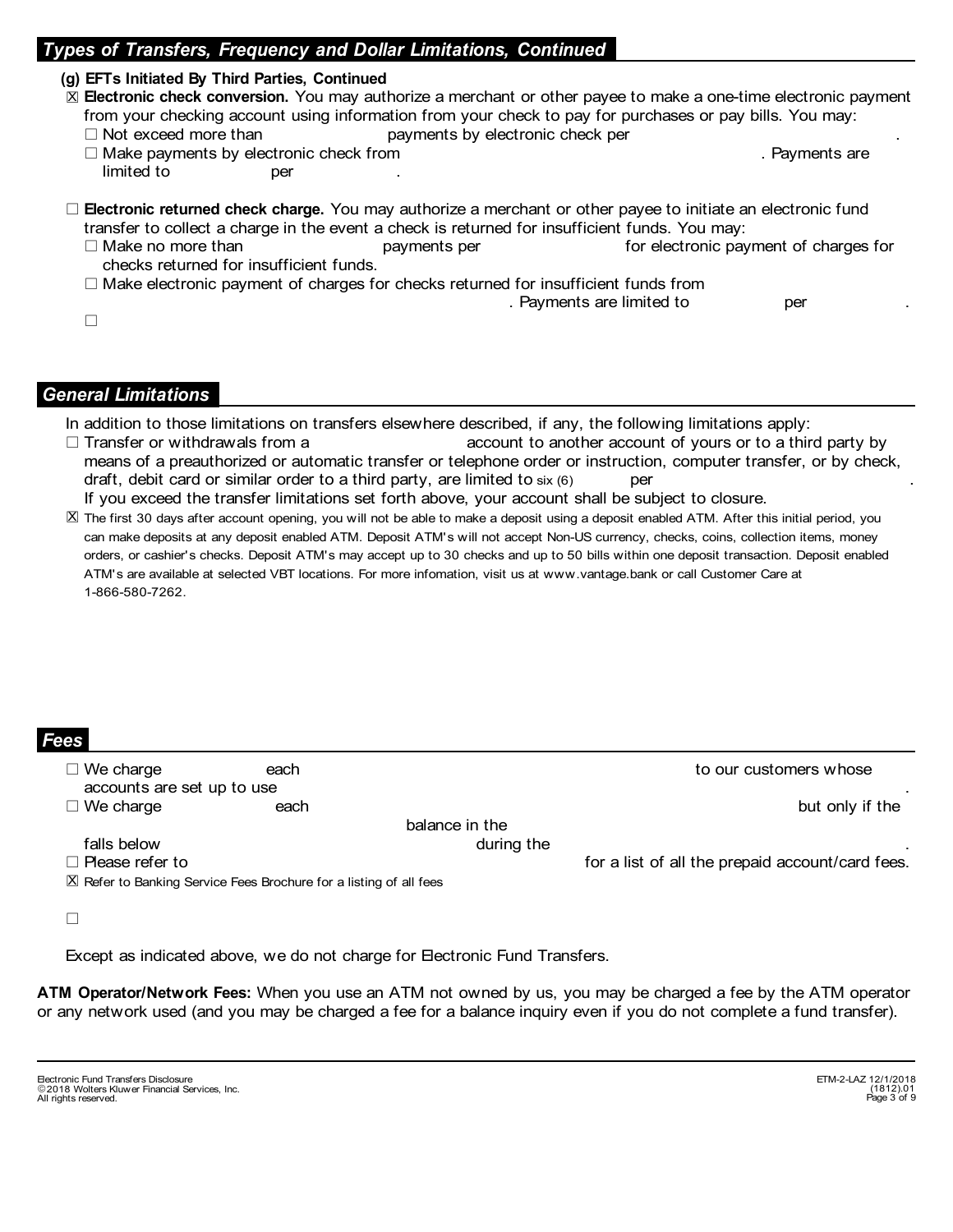### *Types of Transfers, Frequency and Dollar Limitations, Continued*

#### **(g) EFTs Initiated By Third Parties, Continued**

### ⊠ Electronic check conversion. You may authorize a merchant or other payee to make a one-time electronic payment from your checking account using information from your check to pay for purchases or pay bills. You may:

- $\Box$  Not exceed more than  $\Box$  payments by electronic check per
- $\Box$  Make payments by electronic check from . Payments are . Payments are . Payments are . Payments are . Payments are . Payments are . Payments are . Payments are . Payments are . Payments are . Payments are . Payments a limited to per .
- **Electronic returned check charge.** You may authorize a merchant or other payee to initiate an electronic fund l transfer to collect a charge in the event a check is returned for insufficient funds. You may:
	- $\Box$  Make no more than  $\Box$  payments per for electronic payment of charges for checks returned for insufficient funds.
	- $\Box$  Make electronic payment of charges for checks returned for insufficient funds from

| Payments are limited to | per |  |
|-------------------------|-----|--|
|                         |     |  |

#### *General Limitations*

In addition to those limitations on transfers elsewhere described, if any, the following limitations apply:

- $\Box$  Transfer or withdrawals from a  $\Box$  account to another account of yours or to a third party by means of a preauthorized or automatic transfer or telephone order or instruction, computer transfer, or by check, draft, debit card or similar order to a third party, are limited to  $\mathsf{s}\mathsf{ix}$  (6)  $\qquad \qquad \mathsf{per}$  . If you exceed the transfer limitations set forth above, your account shall be subject to closure.
- l X The first 30 days after account opening, you will not be able to make a deposit using a deposit enabled ATM. After this initial period, you can make deposits at any deposit enabled ATM. Deposit ATM's will not accept Non-US currency, checks, coins, collection items, money orders, or cashier's checks. Deposit ATM's may accept up to 30 checks and up to 50 bills within one deposit transaction. Deposit enabled ATM's are available at selected VBT locations. For more infomation, visit us at www.vantage.bank or call Customer Care at 1-866-580-7262.

|                                                                              | $\sim$ $\sim$ $\sim$                           |
|------------------------------------------------------------------------------|------------------------------------------------|
| to our customers whose<br>each                                               | $\Box$ We charge<br>accounts are set up to use |
| but only if the<br>each                                                      | $\Box$ We charge                               |
| balance in the                                                               |                                                |
| during the                                                                   | falls below                                    |
| for a list of all the prepaid account/card fees.                             | $\Box$ Please refer to                         |
| $\boxtimes$ Refer to Banking Service Fees Brochure for a listing of all fees |                                                |
|                                                                              |                                                |
|                                                                              |                                                |

Except as indicated above, we do not charge for Electronic Fund Transfers.

**ATM Operator/Network Fees:** When you use an ATM not owned by us, you may be charged a fee by the ATM operator or any network used (and you may be charged a fee for a balance inquiry even if you do not complete a fund transfer).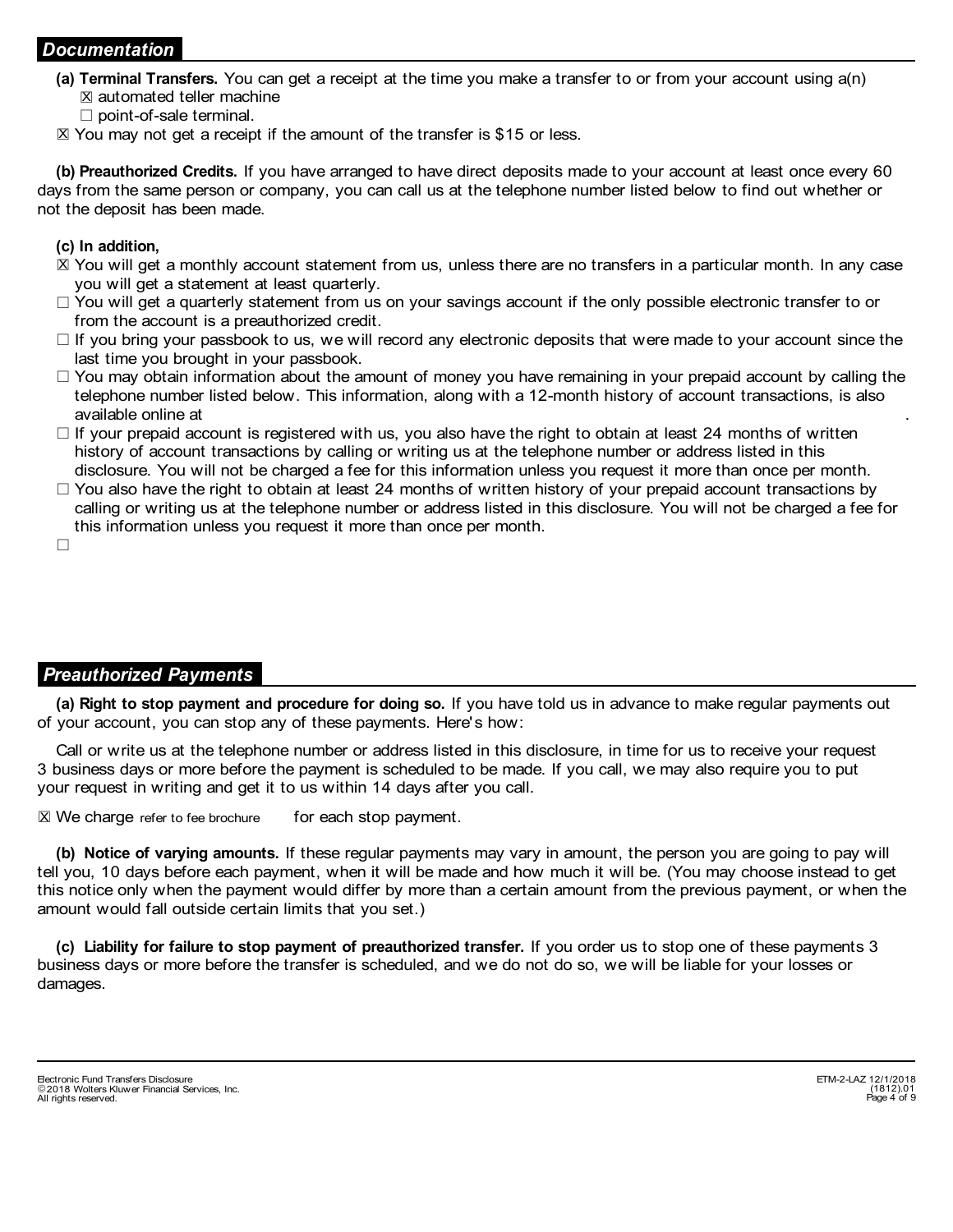### *Documentation*

- **(a) Terminal Transfers.** You can get a receipt at the time you make a transfer to or from your account using a(n)  $\boxtimes$  automated teller machine
	- $\square$  point-of-sale terminal.
- $\boxtimes$  You may not get a receipt if the amount of the transfer is \$15 or less.

**(b) Preauthorized Credits.** If you have arranged to have direct deposits made to your account at least once every 60 days from the same person or company, you can call us at the telephone number listed below to find out whether or not the deposit has been made.

#### **(c) In addition,**

- ⊠ You will get a monthly account statement from us, unless there are no transfers in a particular month. In any case you will get a statement at least quarterly.
- $\Box$  You will get a quarterly statement from us on your savings account if the only possible electronic transfer to or from the account is a preauthorized credit.
- $\Box$  If you bring your passbook to us, we will record any electronic deposits that were made to your account since the last time you brought in your passbook.
- $\Box$  You may obtain information about the amount of money you have remaining in your prepaid account by calling the telephone number listed below. This information, along with a 12-month history of account transactions, is also available online at .
- $\Box$  If your prepaid account is registered with us, you also have the right to obtain at least 24 months of written history of account transactions by calling or writing us at the telephone number or address listed in this disclosure. You will not be charged a fee for this information unless you request it more than once per month.
- $\Box$  You also have the right to obtain at least 24 months of written history of your prepaid account transactions by calling or writing us at the telephone number or address listed in this disclosure. You will not be charged a fee for this information unless you request it more than once per month.

 $\Box$ 

# *Preauthorized Payments*

**(a) Right to stop payment and procedure for doing so.** If you have told us in advance to make regular payments out of your account, you can stop any of these payments. Here's how:

Call or write us at the telephone number or address listed in this disclosure, in time for us to receive your request 3 business days or more before the payment is scheduled to be made. If you call, we may also require you to put your request in writing and get it to us within 14 days after you call.

 $\boxtimes$  We charge refer to fee brochure for each stop payment.

**(b) Notice of varying amounts.** If these regular payments may vary in amount, the person you are going to pay will tell you, 10 days before each payment, when it will be made and how much it will be. (You may choose instead to get this notice only when the payment would differ by more than a certain amount from the previous payment, or when the amount would fall outside certain limits that you set.)

**(c) Liability for failure to stop payment of preauthorized transfer.** If you order us to stop one of these payments 3 business days or more before the transfer is scheduled, and we do not do so, we will be liable for your losses or damages.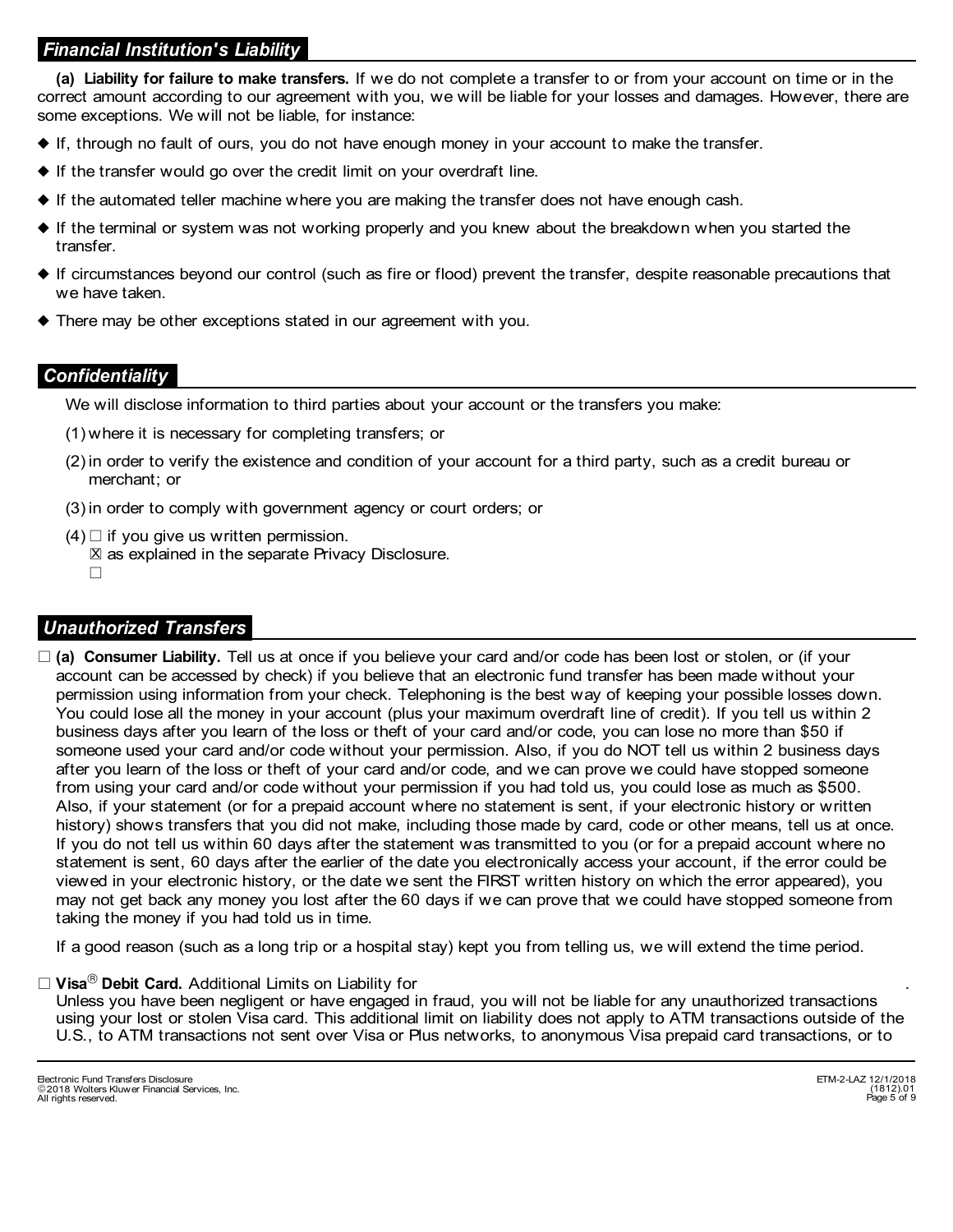# *Financial Institution's Liability*

**(a) Liability for failure to make transfers.** If we do not complete a transfer to or from your account on time or in the correct amount according to our agreement with you, we will be liable for your losses and damages. However, there are some exceptions. We will not be liable, for instance:

- $\blacklozenge$  If, through no fault of ours, you do not have enough money in your account to make the transfer.
- $\blacklozenge$  If the transfer would go over the credit limit on your overdraft line.
- $\blacklozenge$  If the automated teller machine where you are making the transfer does not have enough cash.
- If the terminal or system was not working properly and you knew about the breakdown when you started the } transfer.
- If circumstances beyond our control (such as fire or flood) prevent the transfer, despite reasonable precautions that } we have taken.
- There may be other exceptions stated in our agreement with you. }

### *Confidentiality*

We will disclose information to third parties about your account or the transfers you make:

- (1) where it is necessary for completing transfers; or
- (2) in order to verify the existence and condition of your account for a third party, such as a credit bureau or merchant; or
- (3) in order to comply with government agency or court orders; or
- $(4)$  if you give us written permission.
	- $\boxtimes$  as explained in the separate Privacy Disclosure.
	- $\Box$

### *Unauthorized Transfers*

□ (a) Consumer Liability. Tell us at once if you believe your card and/or code has been lost or stolen, or (if your account can be accessed by check) if you believe that an electronic fund transfer has been made without your permission using information from your check. Telephoning is the best way of keeping your possible losses down. You could lose all the money in your account (plus your maximum overdraft line of credit). If you tell us within 2 business days after you learn of the loss or theft of your card and/or code, you can lose no more than \$50 if someone used your card and/or code without your permission. Also, if you do NOT tell us within 2 business days after you learn of the loss or theft of your card and/or code, and we can prove we could have stopped someone from using your card and/or code without your permission if you had told us, you could lose as much as \$500. Also, if your statement (or for a prepaid account where no statement is sent, if your electronic history or written history) shows transfers that you did not make, including those made by card, code or other means, tell us at once. If you do not tell us within 60 days after the statement was transmitted to you (or for a prepaid account where no statement is sent, 60 days after the earlier of the date you electronically access your account, if the error could be viewed in your electronic history, or the date we sent the FIRST written history on which the error appeared), you may not get back any money you lost after the 60 days if we can prove that we could have stopped someone from taking the money if you had told us in time.

If a good reason (such as a long trip or a hospital stay) kept you from telling us, we will extend the time period.

#### $\Box$  **Visa** $^{\circledR}$  **Debit Card.** Additional Limits on Liability for  $\Box$  .

Unless you have been negligent or have engaged in fraud, you will not be liable for any unauthorized transactions using your lost or stolen Visa card. This additional limit on liability does not apply to ATM transactions outside of the U.S., to ATM transactions not sent over Visa or Plus networks, to anonymous Visa prepaid card transactions, or to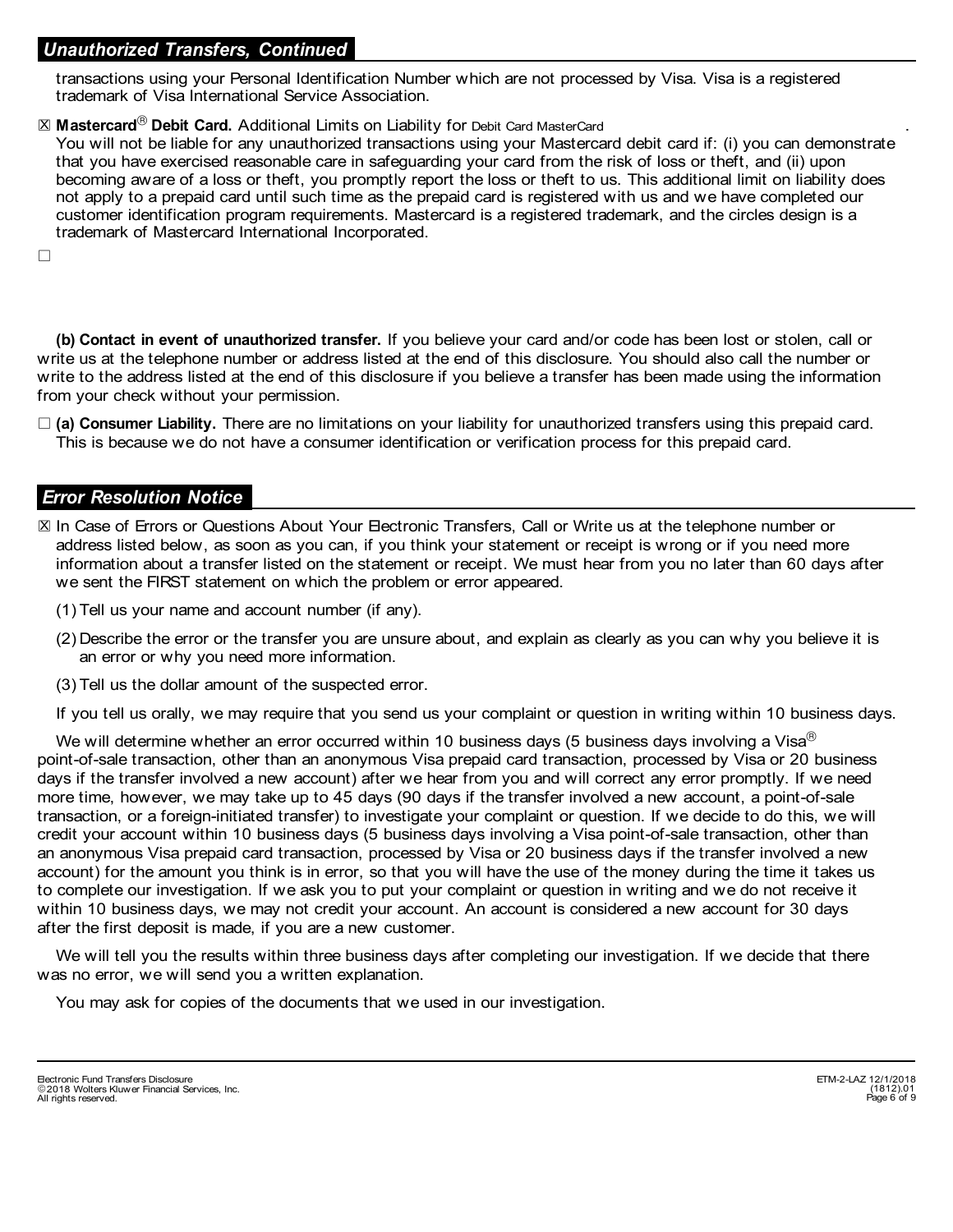### *Unauthorized Transfers, Continued*

transactions using your Personal Identification Number which are not processed by Visa. Visa is a registered trademark of Visa International Service Association.

#### $\boxtimes$  **Mastercard** $^\circledR$  **Debit Card.** Additional Limits on Liability for <code>Debit Card</code> MasterCard  $\qquad \qquad \ldots$

You will not be liable for any unauthorized transactions using your Mastercard debit card if: (i) you can demonstrate that you have exercised reasonable care in safeguarding your card from the risk of loss or theft, and (ii) upon becoming aware of a loss or theft, you promptly report the loss or theft to us. This additional limit on liability does not apply to a prepaid card until such time as the prepaid card is registered with us and we have completed our customer identification program requirements. Mastercard is a registered trademark, and the circles design is a trademark of Mastercard International Incorporated.

 $\Box$ 

**Contact in event of unauthorized transfer.** If you believe your card and/or code has been lost or stolen, call or **(b)** write us at the telephone number or address listed at the end of this disclosure. You should also call the number or write to the address listed at the end of this disclosure if you believe a transfer has been made using the information from your check without your permission.

□ (a) Consumer Liability. There are no limitations on your liability for unauthorized transfers using this prepaid card. This is because we do not have a consumer identification or verification process for this prepaid card.

#### *Error Resolution Notice*

- ⊠ In Case of Errors or Questions About Your Electronic Transfers, Call or Write us at the telephone number or address listed below, as soon as you can, if you think your statement or receipt is wrong or if you need more information about a transfer listed on the statement or receipt. We must hear from you no later than 60 days after we sent the FIRST statement on which the problem or error appeared.
	- (1) Tell us your name and account number (if any).
	- (2) Describe the error or the transfer you are unsure about, and explain as clearly as you can why you believe it is an error or why you need more information.
	- (3) Tell us the dollar amount of the suspected error.

If you tell us orally, we may require that you send us your complaint or question in writing within 10 business days.

We will determine whether an error occurred within 10 business days (5 business days involving a Visa $\mathbb{B}$ point-of-sale transaction, other than an anonymous Visa prepaid card transaction, processed by Visa or 20 business days if the transfer involved a new account) after we hear from you and will correct any error promptly. If we need more time, however, we may take up to 45 days (90 days if the transfer involved a new account, a point-of-sale transaction, or a foreign-initiated transfer) to investigate your complaint or question. If we decide to do this, we will credit your account within 10 business days (5 business days involving a Visa point-of-sale transaction, other than an anonymous Visa prepaid card transaction, processed by Visa or 20 business days if the transfer involved a new account) for the amount you think is in error, so that you will have the use of the money during the time it takes us to complete our investigation. If we ask you to put your complaint or question in writing and we do not receive it within 10 business days, we may not credit your account. An account is considered a new account for 30 days after the first deposit is made, if you are a new customer.

We will tell you the results within three business days after completing our investigation. If we decide that there was no error, we will send you a written explanation.

You may ask for copies of the documents that we used in our investigation.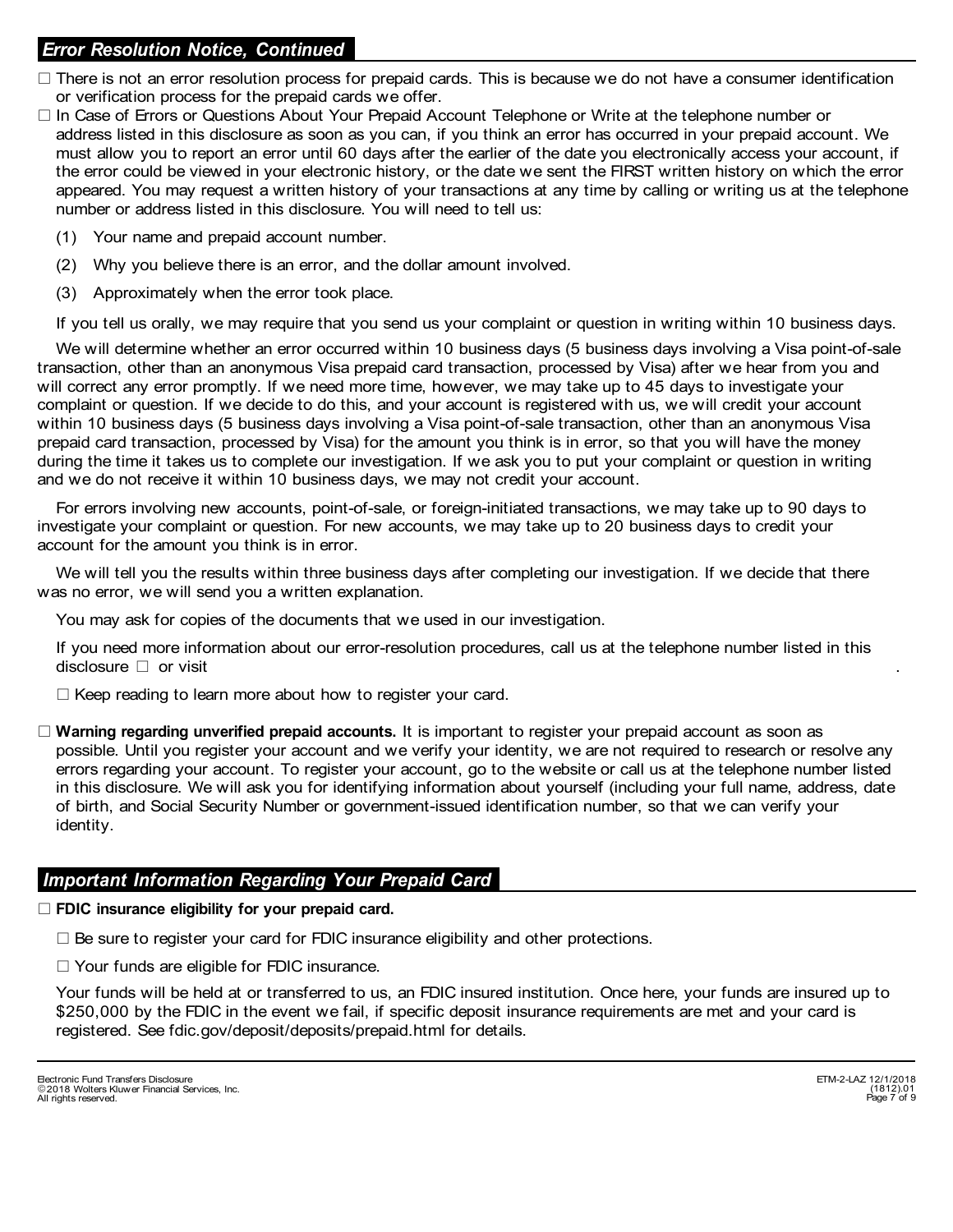# *Error Resolution Notice, Continued*

- $\Box$  There is not an error resolution process for prepaid cards. This is because we do not have a consumer identification or verification process for the prepaid cards we offer.
- □ In Case of Errors or Questions About Your Prepaid Account Telephone or Write at the telephone number or address listed in this disclosure as soon as you can, if you think an error has occurred in your prepaid account. We must allow you to report an error until 60 days after the earlier of the date you electronically access your account, if the error could be viewed in your electronic history, or the date we sent the FIRST written history on which the error appeared. You may request a written history of your transactions at any time by calling or writing us at the telephone number or address listed in this disclosure. You will need to tell us:
	- (1) Your name and prepaid account number.
	- (2) Why you believe there is an error, and the dollar amount involved.
	- (3) Approximately when the error took place.

If you tell us orally, we may require that you send us your complaint or question in writing within 10 business days.

transaction, other than an anonymous Visa prepaid card transaction, processed by Visa) after we hear from you and will correct any error promptly. If we need more time, however, we may take up to 45 days to investigate your complaint or question. If we decide to do this, and your account is registered with us, we will credit your account within 10 business days (5 business days involving a Visa point-of-sale transaction, other than an anonymous Visa prepaid card transaction, processed by Visa) for the amount you think is in error, so that you will have the money during the time it takes us to complete our investigation. If we ask you to put your complaint or question in writing and we do not receive it within 10 business days, we may not credit your account. We will determine whether an error occurred within 10 business days (5 business days involving a Visa point-of-sale

For errors involving new accounts, point-of-sale, or foreign-initiated transactions, we may take up to 90 days to investigate your complaint or question. For new accounts, we may take up to 20 business days to credit your account for the amount you think is in error.

We will tell you the results within three business days after completing our investigation. If we decide that there was no error, we will send you a written explanation.

You may ask for copies of the documents that we used in our investigation.

If you need more information about our error-resolution procedures, call us at the telephone number listed in this disclosure  $\Box$  or visit

 $\Box$  Keep reading to learn more about how to register your card.

□ **Warning regarding unverified prepaid accounts.** It is important to register your prepaid account as soon as possible. Until you register your account and we verify your identity, we are not required to research or resolve any errors regarding your account. To register your account, go to the website or call us at the telephone number listed in this disclosure. We will ask you for identifying information about yourself (including your full name, address, date of birth, and Social Security Number or government-issued identification number, so that we can verify your identity.

### *Important Information Regarding Your Prepaid Card*

#### $\Box$  **FDIC insurance eligibility for your prepaid card.**

 $\square$  Be sure to register your card for FDIC insurance eligibility and other protections.

 $\Box$  Your funds are eligible for FDIC insurance.

Your funds will be held at or transferred to us, an FDIC insured institution. Once here, your funds are insured up to \$250,000 by the FDIC in the event we fail, if specific deposit insurance requirements are met and your card is registered. See fdic.gov/deposit/deposits/prepaid.html for details.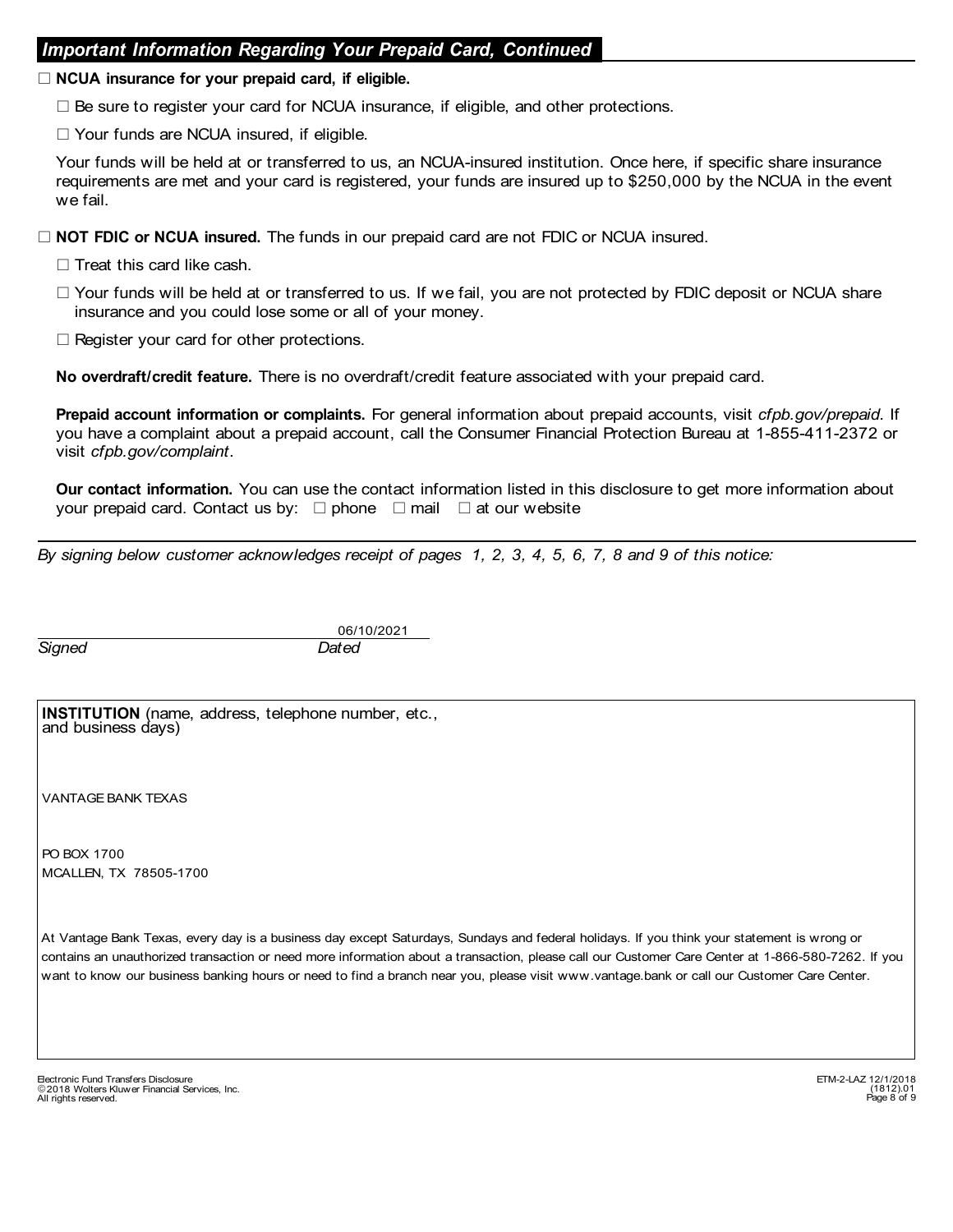### *Important Information Regarding Your Prepaid Card, Continued*

#### □ NCUA insurance for your prepaid card, if eligible.

 $\Box$  Be sure to register your card for NCUA insurance, if eligible, and other protections.

 $\Box$  Your funds are NCUA insured, if eligible.

Your funds will be held at or transferred to us, an NCUA-insured institution. Once here, if specific share insurance requirements are met and your card is registered, your funds are insured up to \$250,000 by the NCUA in the event we fail.

□ **NOT FDIC or NCUA insured.** The funds in our prepaid card are not FDIC or NCUA insured.

- $\Box$  Treat this card like cash.
- $\Box$  Your funds will be held at or transferred to us. If we fail, you are not protected by FDIC deposit or NCUA share insurance and you could lose some or all of your money.
- $\Box$  Register your card for other protections.

**No overdraft/credit feature.** There is no overdraft/credit feature associated with your prepaid card.

**Prepaid account information or complaints.** For general information about prepaid accounts, visit *cfpb.gov/prepaid*. If you have a complaint about a prepaid account, call the Consumer Financial Protection Bureau at 1-855-411-2372 or visit *cfpb.gov/complaint*.

**Our contact information.** You can use the contact information listed in this disclosure to get more information about your prepaid card. Contact us by:  $\Box$  phone  $\Box$  mail  $\Box$  at our website

*By signing below customer acknowledges receipt of pages 1, 2, 3, 4, 5, 6, 7, 8 and 9 of this notice:*

*Signed Dated*

06/10/2021

**INSTITUTION** (name, address, telephone number, etc., and business days)

VANTAGE BANK TEXAS

PO BOX 1700 MCALLEN, TX 78505-1700

At Vantage Bank Texas, every day is a business day except Saturdays, Sundays and federal holidays. If you think your statement is wrong or contains an unauthorized transaction or need more information about a transaction, please call our Customer Care Center at 1-866-580-7262. If you want to know our business banking hours or need to find a branch near you, please visit www.vantage.bank or call our Customer Care Center.

- Electronic Fund Transfers Disclosure ETM-2-LAZ 12/1/2018 2018 Wolters Kluwer Financial Services, Inc. All rights reserved.

Page 8 of 9 (1812).01